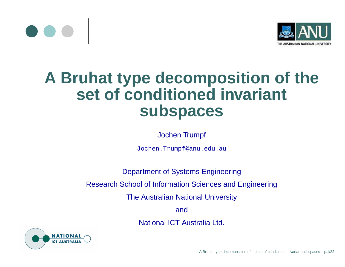



## **A Bruhat type decomposition of the set of conditioned invariant subspaces**

Jochen Trumpf

Jochen.Trumpf@anu.edu.au

Department of Systems Engineering

Research School of Information Sciences and Engineering

The Australian National University

and

National ICT Australia Ltd.

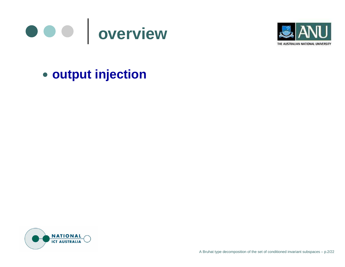



## **output injection**

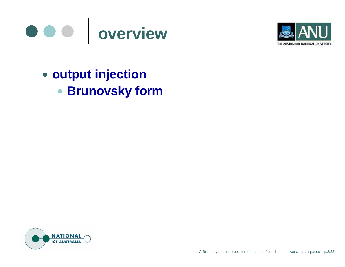



**output injection Brunovsky form**

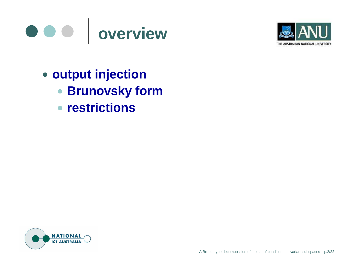



- **output injection**
	- **Brunovsky form**
	- **restrictions**

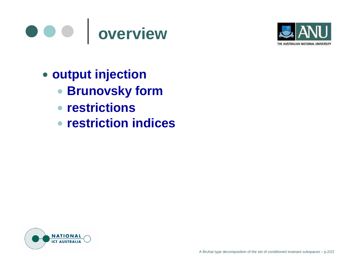



- **output injection**
	- **Brunovsky form**
	- **restrictions** $\bullet$
	- **restriction indices**

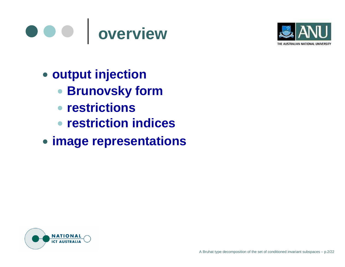



- **output injection**
	- **Brunovsky form**
	- **restrictions**
	- **restriction indices**
- **image representations**

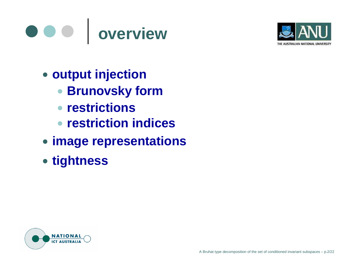#### $\bullet\bullet\bullet$ **overview**



- **output injection**
	- **Brunovsky form**
	- **restrictions**
	- **restriction indices**
- **image representations**
- **tightness**

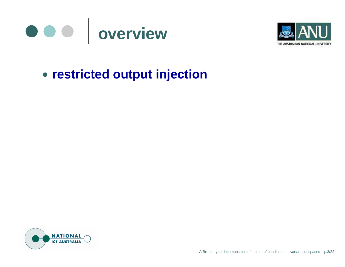



## **restricted output injection**

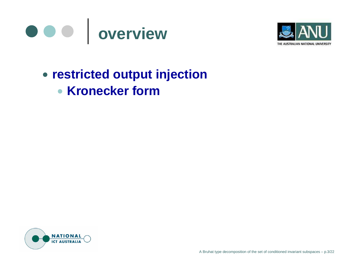



## **restricted output injection**

**Kronecker form**

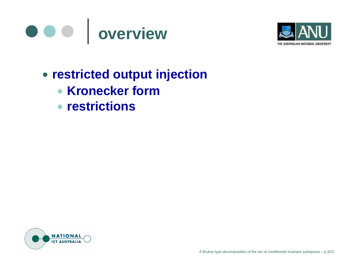



- **restricted output injection**
	- **Kronecker form**
	- **restrictions**

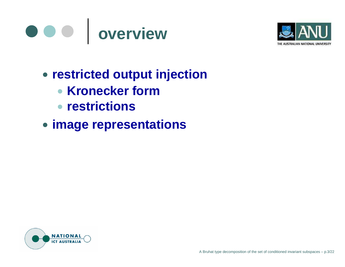



- **restricted output injection**
	- **Kronecker form**
	- **restrictions**
- **image representations**

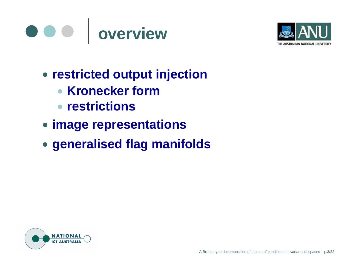



- **restricted output injection**
	- **Kronecker form**
	- **restrictions**
- **image representations**
- **generalised flag manifolds**

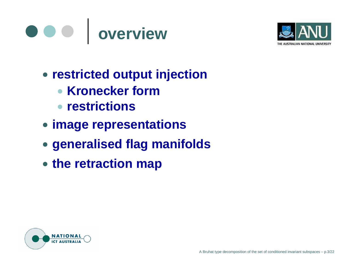



- **restricted output injection**
	- **Kronecker form**
	- **restrictions**
- **image representations**
- **generalised flag manifolds**
- **the retraction map**

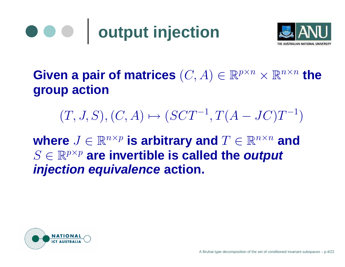#### **output injection**  $\bullet\bullet\bullet$



## $\boldsymbol{\mathsf{Given}}$  a pair of matrices  $(C,A)\in \mathbb{R}^{p\times n}\times \mathbb{R}^{n\times n}$  the **group action**

# $(T, J, S), (C, A) \mapsto (SCT^{-1}, T(A - JC)T^{-1})$

 $\mathbf{w}$ here  $J \in \mathbb{R}^{n \times p}$  is arbitrary and  $T \in \mathbb{R}^{n \times n}$  and  $S \in \mathbb{R}^{p \times p}$  are invertible is called the output **injection equivalence action.**

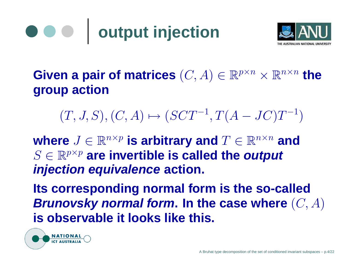# **output injection**



 $\boldsymbol{\mathsf{Given}}$  a pair of matrices  $(C,A)\in \mathbb{R}^{p\times n}\times \mathbb{R}^{n\times n}$  the **group action**

 $(T, J, S), (C, A) \mapsto (SCT^{-1}, T(A - JC)T^{-1})$ 

 $\mathbf{w}$ here  $J \in \mathbb{R}^{n \times p}$  is arbitrary and  $T \in \mathbb{R}^{n \times n}$  and  $S \in \mathbb{R}^{p \times p}$  are invertible is called the output **injection equivalence action.**

**Its corresponding normal form is the so-called Brunovsky normal form. In the case where** (C, A) **is observable it looks like this.**

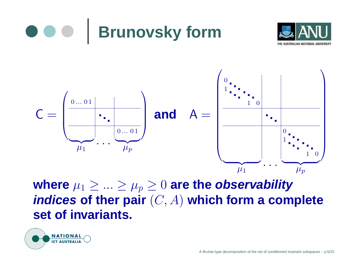





where  $\mu_1 \geq ... \geq \mu_p \geq 0$  are the *observability* **indices of ther pair** (C, A) **which form <sup>a</sup> complete set of invariants.**

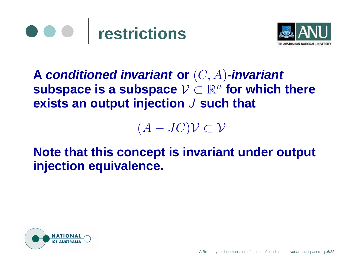



**A conditioned invariant or** (C, A)**-invariant subspace** is a subspace  $V \subset \mathbb{R}^n$  for which there **exists an output injection** J **such that**

 $(A-JC)\mathcal{V}\subset \mathcal{V}$ 

**Note that this concept is invariant under output injection equivalence.**

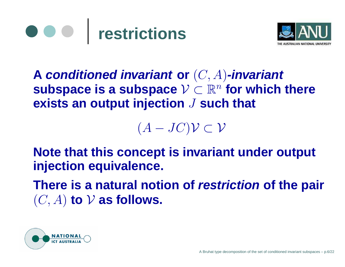



**A conditioned invariant or** (C, A)**-invariant subspace** is a subspace  $V \subset \mathbb{R}^n$  for which there **exists an output injection** J **such that**

 $(A-JC)\mathcal{V}\subset \mathcal{V}$ 

**Note that this concept is invariant under output injection equivalence.**

**There is a natural notion of restriction of the pair**  $(C, A)$  to  $V$  as follows.

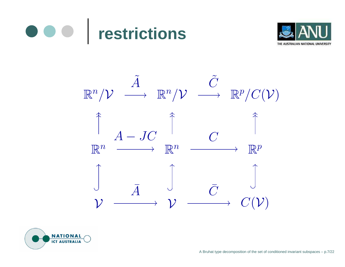





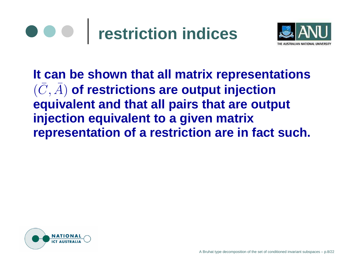# **restriction indices**



**It can be shown that all matrix representations**  $(C$ The contract of the con- $, A$ ) **of restrictions are output injection equivalent and that all pairs that are output injection equivalent to <sup>a</sup> given matrix representation of <sup>a</sup> restriction are in fact such.**

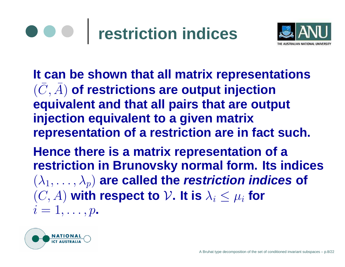# **restriction indices**



**It can be shown that all matrix representations**  $(C$ The contract of the con- $, A$ ) **of restrictions are output injection equivalent and that all pairs that are output injection equivalent to <sup>a</sup> given matrix representation of <sup>a</sup> restriction are in fact such.**

**Hence there is <sup>a</sup> matrix representation of <sup>a</sup> restriction in Brunovsky normal form. Its indices**  $(\lambda_1, \ldots, \lambda_p)$  are called the *restriction indices* of  $(C, A)$  with respect to  $V$ . It is  $\lambda_i \leq \mu_i$  for  $i=1,\ldots,p$  .

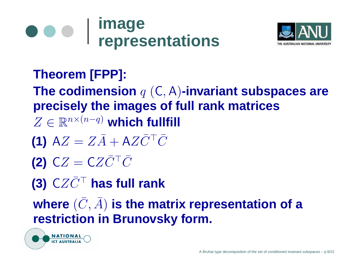



## **Theorem [FPP]:**

**The codimension** <sup>q</sup> (C, <sup>A</sup>)**-invariant subspaces are precisely the images of full rank matrices**  $Z \in \mathbb{R}^{n \times (n-q)}$  which fullfill

- **(1)**  $AZ = Z\bar{A}$  $+$   $\mathsf{A}Z\bar{C}^\top\bar{C}$
- **(2)**  $CZ = CZ\bar{C}^\top\bar{C}$

**(3)** CZC ¯> **has full rank**

where  $(\bar{C}% )^{\cdot\cdot\cdot}$  $, \bar{A}$ ) **is the matrix representation of <sup>a</sup> restriction in Brunovsky form.**

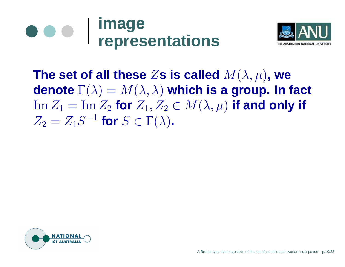



The set of all these  $Z$ s is called  $M(\lambda,\mu)$ , we **denote** Γ(λ) <sup>=</sup> <sup>M</sup>(λ, λ) **which is <sup>a</sup> group. In fact**  $\mathrm{Im}\,Z_1=\mathrm{Im}\,Z_2$  for  $Z_1,Z_2\in M(\lambda,\mu)$  if and only if  $Z_2 = Z_1 S^{-1}$  for  $S \in \Gamma(\lambda)$ .

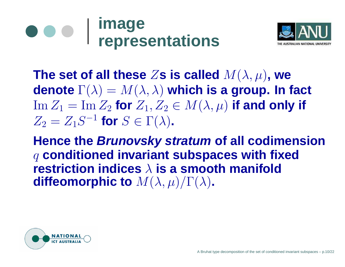



The set of all these  $Z$ s is called  $M(\lambda,\mu)$ , we **denote** Γ(λ) <sup>=</sup> <sup>M</sup>(λ, λ) **which is <sup>a</sup> group. In fact**  $\mathrm{Im}\,Z_1=\mathrm{Im}\,Z_2$  for  $Z_1,Z_2\in M(\lambda,\mu)$  if and only if  $Z_2 = Z_1 S^{-1}$  for  $S \in \Gamma(\lambda)$ .

**Hence the Brunovsky stratum of all codimension** <sup>q</sup> **conditioned invariant subspaces with fixed restriction indices** λ **is a smooth manifold diffeomorphic to**  $M(\lambda, \mu)/\Gamma(\lambda)$ .

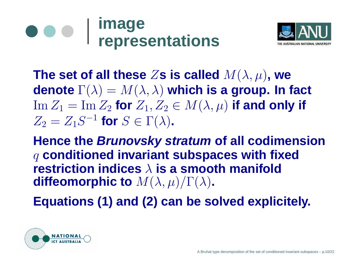



The set of all these  $Z$ s is called  $M(\lambda,\mu)$ , we **denote** Γ(λ) <sup>=</sup> <sup>M</sup>(λ, λ) **which is <sup>a</sup> group. In fact**  $\mathrm{Im}\,Z_1=\mathrm{Im}\,Z_2$  for  $Z_1,Z_2\in M(\lambda,\mu)$  if and only if  $Z_2 = Z_1 S^{-1}$  for  $S \in \Gamma(\lambda)$ .

**Hence the Brunovsky stratum of all codimension** <sup>q</sup> **conditioned invariant subspaces with fixed restriction indices** λ **is a smooth manifold diffeomorphic to**  $M(\lambda, \mu)/\Gamma(\lambda)$ .

**Equations (1) and (2) can be solved explicitely.**

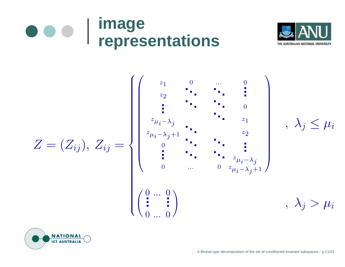



$$
Z=(Z_{ij}),\,Z_{ij}=
$$





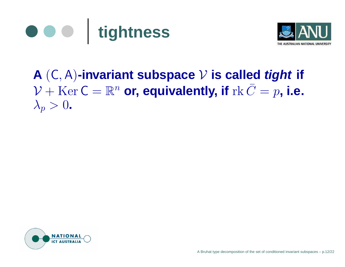



#### **A** (C, <sup>A</sup>)**-invariant subspace** V **is called tight if**  $\mathcal{V} + \mathrm{Ker} \, \mathsf{C} = \mathbb{R}^n$  or, equivalently, if  $\mathrm{rk} \, \bar{C}$  = $p$ , **i.e.**  $\lambda_p > 0$ .

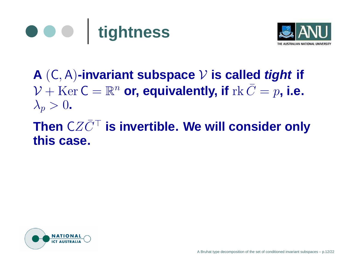



#### **A** (C, <sup>A</sup>)**-invariant subspace** V **is called tight if**  $\mathcal{V} + \mathrm{Ker} \, \mathsf{C} = \mathbb{R}^n$  or, equivalently, if  $\mathrm{rk} \, \bar{C}$  = $p$ , **i.e.**  $\lambda_p > 0$ .

#### **Then** CZC  $\bar{C}^\top$  is invertible. We will consider only **this case.**

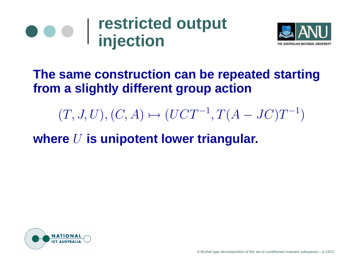



### **The same construction can be repeated starting from <sup>a</sup> slightly different group action**

 $(T, J, U), (C, A) \mapsto (UCT^{-1}, T(A - JC)T^{-1})$ 

**where** U **is unipotent lower triangular.**

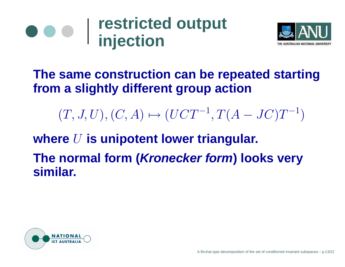



### **The same construction can be repeated starting from <sup>a</sup> slightly different group action**

 $(T, J, U), (C, A) \mapsto (UCT^{-1}, T(A - JC)T^{-1})$ 

**where** U **is unipotent lower triangular.**

**The normal form (Kronecker form) looks very similar.**

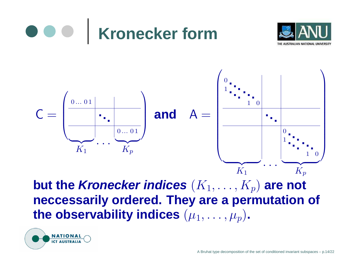

 $\boldsymbol{\mathsf{but}}$  the *Kronecker indices*  $(K_1,\ldots,K_p)$  *are not* **neccessarily ordered. They are <sup>a</sup> permutation of** the observability indices  $(\mu_1, \ldots, \mu_p)$ .



.. . |

 $\overbrace{\phantom{aaaaa}}$  $K_p$ 

 $\overbrace{\phantom{aaaaa}}$  $K_1$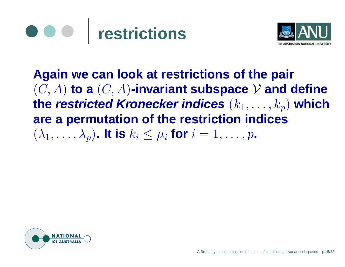



**Again we can look at restrictions of the pair**  $(C, A)$  to a  $(C, A)$ -invariant subspace  $V$  and define **the restricted Kronecker indices** (k<sup>1</sup>, . . . , <sup>k</sup>p) **which are <sup>a</sup> permutation of the restriction indices**  $(\lambda_1, \ldots, \lambda_p)$ . It is  $k_i \leq \mu_i$  for  $i = 1, \ldots, p$ .

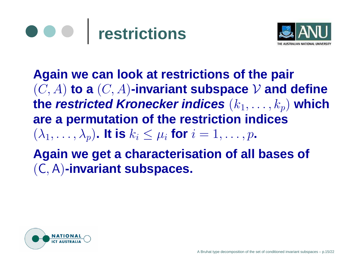



**Again we can look at restrictions of the pair**  $(C, A)$  to a  $(C, A)$ -invariant subspace  $V$  and define **the restricted Kronecker indices** (k<sup>1</sup>, . . . , <sup>k</sup>p) **which are <sup>a</sup> permutation of the restriction indices**  $(\lambda_1, \ldots, \lambda_p)$ . It is  $k_i \leq \mu_i$  for  $i = 1, \ldots, p$ . **Again we get <sup>a</sup> characterisation of all bases of** (C, <sup>A</sup>)**-invariant subspaces.**

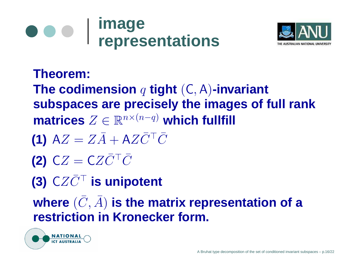



**Theorem: The codimension** <sup>q</sup> **tight** (C, <sup>A</sup>)**-invariant subspaces are precisely the images of full rank**  $\textbf{matrices} \ Z \in \mathbb{R}^{n \times (n-q)}$  which fullfill

- **(1)**  $AZ = Z\bar{A}$  $+$   $\mathsf{A}Z\bar{C}^\top\bar{C}$
- **(2)**  $CZ = CZ\bar{C}^\top\bar{C}$
- **(3)**  $CZ\bar{C}^\top$  is unipotent

where  $(\bar{C}% )^{\cdot\cdot\cdot}$  $, \bar{A}$ ) **is the matrix representation of <sup>a</sup> restriction in Kronecker form.**

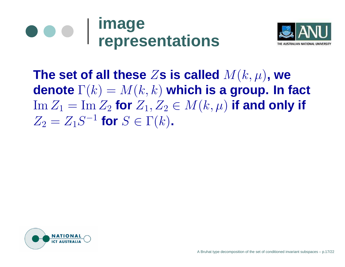



**The set of all these** Z**s is called** <sup>M</sup>(k, <sup>µ</sup>)**, we denote** Γ(k) <sup>=</sup> <sup>M</sup>(k, k) **which is <sup>a</sup> group. In fact**  $\mathrm{Im}\,Z_1=\mathrm{Im}\,Z_2$  for  $Z_1,Z_2\in M(k,\mu)$  if and only if  $Z_2 = Z_1 S^{-1}$  for  $S \in \Gamma(k)$ .

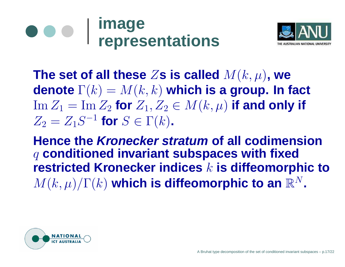



**The set of all these** Z**s is called** <sup>M</sup>(k, <sup>µ</sup>)**, we denote** Γ(k) <sup>=</sup> <sup>M</sup>(k, k) **which is <sup>a</sup> group. In fact**  $\mathrm{Im}\,Z_1=\mathrm{Im}\,Z_2$  for  $Z_1,Z_2\in M(k,\mu)$  if and only if  $Z_2 = Z_1 S^{-1}$  for  $S \in \Gamma(k)$ .

**Hence the Kronecker stratum of all codimension** <sup>q</sup> **conditioned invariant subspaces with fixed restricted Kronecker indices** k **is diffeomorphic to**  $M(k,\mu)/\Gamma(k)$  which is diffeomorphic to an  $\mathbb{R}^N$ .

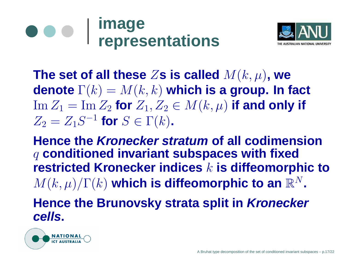#### **image**  $\bullet\bullet\bullet$ **representations**



**The set of all these** Z**s is called** <sup>M</sup>(k, <sup>µ</sup>)**, we denote** Γ(k) <sup>=</sup> <sup>M</sup>(k, k) **which is <sup>a</sup> group. In fact**  $\mathrm{Im}\,Z_1=\mathrm{Im}\,Z_2$  for  $Z_1,Z_2\in M(k,\mu)$  if and only if  $Z_2 = Z_1 S^{-1}$  for  $S \in \Gamma(k)$ .

**Hence the Kronecker stratum of all codimension** <sup>q</sup> **conditioned invariant subspaces with fixed restricted Kronecker indices** k **is diffeomorphic to**  $M(k, \mu)/\Gamma(k)$  which is diffeomorphic to an  $\mathbb{R}^N$ .

**Hence the Brunovsky strata split in Kronecker cells.**

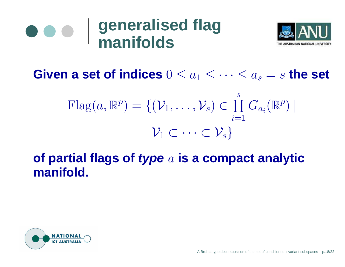#### **generalised flag**  $\bullet\bullet\bullet$ **manifolds**



Given a set of indices  $0 \leq a_1 \leq \cdots \leq a_s = s$  the set

$$
\mathrm{Flag}(a, \mathbb{R}^p) = \{ (\mathcal{V}_1, \dots, \mathcal{V}_s) \in \prod_{i=1}^s G_{a_i}(\mathbb{R}^p) \mid \\ \mathcal{V}_1 \subset \dots \subset \mathcal{V}_s \}
$$

### **of partial flags of type** <sup>a</sup> **is <sup>a</sup> compact analytic manifold.**

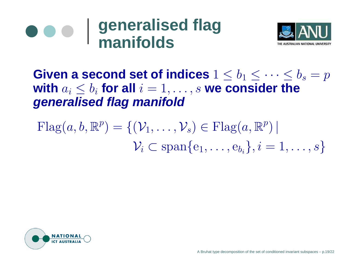



**Given a second set of indices**  $1 \leq b_1 \leq \cdots \leq b_s = p$ **with**  $a_i \leq b_i$  for all  $i=1,\ldots,s$  we consider the **generalised flag manifold**

 $\text{Flag}(a, b, \mathbb{R}^p) = \{(\mathcal{V}_1, \ldots, \mathcal{V}_s) \in \text{Flag}(a, \mathbb{R}^p) \mid$  $\mathcal{V}_i \subset \text{span}\{\text{e}_1, \dots, \text{e}_{b_i}\}, i=1, \dots, s\}$ 

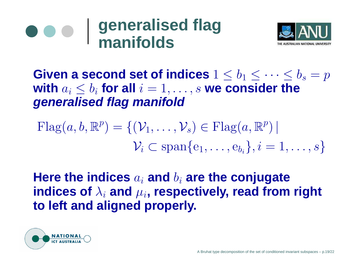#### **generalised flag**  $\bullet$ **manifolds**



**Given a second set of indices**  $1 \leq b_1 \leq \cdots \leq b_s = p$ **with**  $a_i \leq b_i$  for all  $i=1,\ldots,s$  we consider the **generalised flag manifold**

$$
\text{Flag}(a, b, \mathbb{R}^p) = \{(\mathcal{V}_1, \dots, \mathcal{V}_s) \in \text{Flag}(a, \mathbb{R}^p) | \n\mathcal{V}_i \subset \text{span}\{e_1, \dots, e_{b_i}\}, i = 1, \dots, s\}
$$

**Here the indices** <sup>a</sup><sup>i</sup> **and** b<sup>i</sup> **are the conjugate**  ${\bf i}$ ndices of  $\lambda_i$  and  $\mu_i$ , respectively, read from right **to left and aligned properly.**

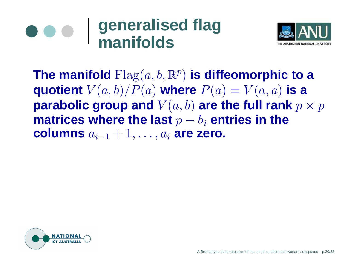#### **generalised flag**  $\bullet$ **manifolds**



The manifold  $\text{Flag}(a, b, \mathbb{R}^{p})$  is diffeomorphic to a **quotient**  $V(a, b)/P(a)$  where  $P(a) = V(a, a)$  is a **parabolic group and**  $V(a, b)$  are the full rank  $p \times p$ **matrices where the last** p <sup>−</sup> b<sup>i</sup> **entries in the columns** ai−1 + 1, . . . , <sup>a</sup><sup>i</sup> **are zero.**

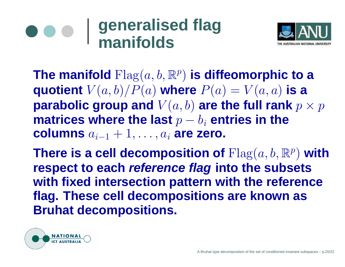## **generalised flag manifolds**



The manifold  $\text{Flag}(a, b, \mathbb{R}^{p})$  is diffeomorphic to a **quotient**  $V(a, b)/P(a)$  where  $P(a) = V(a, a)$  is a **parabolic group and**  $V(a, b)$  are the full rank  $p \times p$ **matrices where the last** p <sup>−</sup> b<sup>i</sup> **entries in the columns** ai−1 + 1, . . . , <sup>a</sup><sup>i</sup> **are zero.**

There is a cell decomposition of  $\text{Flag}(a,b,\mathbb{R}^{p})$  with **respect to each reference flag into the subsets with fixed intersection pattern with the reference flag. These cell decompositions are known as Bruhat decompositions.**

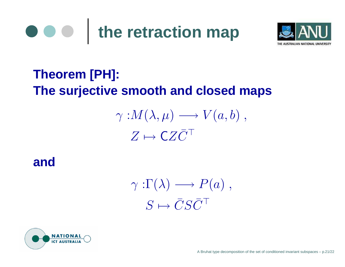



## **Theorem [PH]: The surjective smooth and closed maps**

## $\gamma: M(\lambda, \mu) \longrightarrow V(a, b)$ ,  $Z\mapsto \mathsf{C} Z \bar{C}^\top$

**and**

 $\gamma:\Gamma(\lambda) \longrightarrow P(a)$ ,  $S \mapsto \bar{C}$  $\bar{C}S\bar{C}^\top$ 

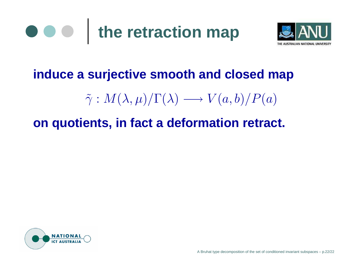



#### **induce <sup>a</sup> surjective smooth and closed map**

 $\widetilde{\gamma}$  $\tilde{\gamma}: M(\lambda,\mu)/\Gamma(\lambda) \longrightarrow V(a,b)/P(a)$ 

#### **on quotients, in fact <sup>a</sup> deformation retract.**